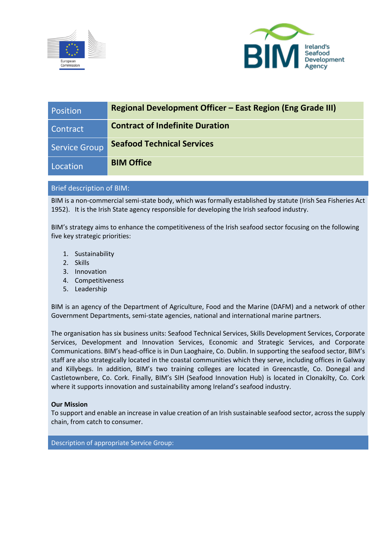



| Position             | <b>Regional Development Officer - East Region (Eng Grade III)</b> |
|----------------------|-------------------------------------------------------------------|
| Contract             | <b>Contract of Indefinite Duration</b>                            |
| <b>Service Group</b> | <b>Seafood Technical Services</b>                                 |
| Location             | <b>BIM Office</b>                                                 |

## Brief description of BIM:

BIM is a non-commercial semi-state body, which was formally established by statute (Irish Sea Fisheries Act 1952). It is the Irish State agency responsible for developing the Irish seafood industry.

BIM's strategy aims to enhance the competitiveness of the Irish seafood sector focusing on the following five key strategic priorities:

- 1. Sustainability
- 2. Skills
- 3. Innovation
- 4. Competitiveness
- 5. Leadership

BIM is an agency of the Department of Agriculture, Food and the Marine (DAFM) and a network of other Government Departments, semi-state agencies, national and international marine partners.

The organisation has six business units: Seafood Technical Services, Skills Development Services, Corporate Services, Development and Innovation Services, Economic and Strategic Services, and Corporate Communications. BIM's head-office is in Dun Laoghaire, Co. Dublin. In supporting the seafood sector, BIM's staff are also strategically located in the coastal communities which they serve, including offices in Galway and Killybegs. In addition, BIM's two training colleges are located in Greencastle, Co. Donegal and Castletownbere, Co. Cork. Finally, BIM's SIH (Seafood Innovation Hub) is located in Clonakilty, Co. Cork where it supports innovation and sustainability among Ireland's seafood industry.

## **Our Mission**

To support and enable an increase in value creation of an Irish sustainable seafood sector, across the supply chain, from catch to consumer.

Description of appropriate Service Group: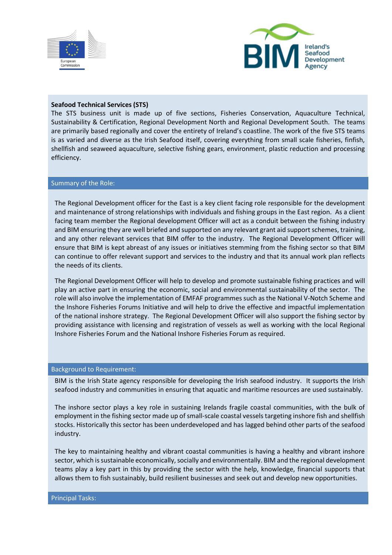



#### **Seafood Technical Services (STS)**

The STS business unit is made up of five sections, Fisheries Conservation, Aquaculture Technical, Sustainability & Certification, Regional Development North and Regional Development South. The teams are primarily based regionally and cover the entirety of Ireland's coastline. The work of the five STS teams is as varied and diverse as the Irish Seafood itself, covering everything from small scale fisheries, finfish, shellfish and seaweed aquaculture, selective fishing gears, environment, plastic reduction and processing efficiency.

#### Summary of the Role:

The Regional Development officer for the East is a key client facing role responsible for the development and maintenance of strong relationships with individuals and fishing groups in the East region. As a client facing team member the Regional development Officer will act as a conduit between the fishing industry and BIM ensuring they are well briefed and supported on any relevant grant aid support schemes, training, and any other relevant services that BIM offer to the industry. The Regional Development Officer will ensure that BIM is kept abreast of any issues or initiatives stemming from the fishing sector so that BIM can continue to offer relevant support and services to the industry and that its annual work plan reflects the needs of its clients.

The Regional Development Officer will help to develop and promote sustainable fishing practices and will play an active part in ensuring the economic, social and environmental sustainability of the sector. The role will also involve the implementation of EMFAF programmes such as the National V-Notch Scheme and the Inshore Fisheries Forums Initiative and will help to drive the effective and impactful implementation of the national inshore strategy. The Regional Development Officer will also support the fishing sector by providing assistance with licensing and registration of vessels as well as working with the local Regional Inshore Fisheries Forum and the National Inshore Fisheries Forum as required.

#### Background to Requirement:

BIM is the Irish State agency responsible for developing the Irish seafood industry. It supports the Irish seafood industry and communities in ensuring that aquatic and maritime resources are used sustainably.

The inshore sector plays a key role in sustaining Irelands fragile coastal communities, with the bulk of employment in the fishing sector made up of small-scale coastal vessels targeting inshore fish and shellfish stocks. Historically this sector has been underdeveloped and has lagged behind other parts of the seafood industry.

The key to maintaining healthy and vibrant coastal communities is having a healthy and vibrant inshore sector, which is sustainable economically, socially and environmentally. BIM and the regional development teams play a key part in this by providing the sector with the help, knowledge, financial supports that allows them to fish sustainably, build resilient businesses and seek out and develop new opportunities.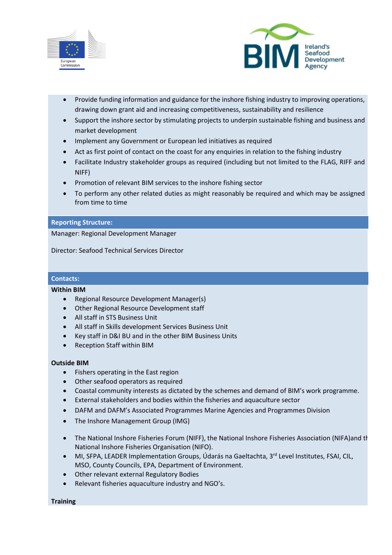



- Provide funding information and guidance for the inshore fishing industry to improving operations, drawing down grant aid and increasing competitiveness, sustainability and resilience
- Support the inshore sector by stimulating projects to underpin sustainable fishing and business and market development
- Implement any Government or European led initiatives as required
- Act as first point of contact on the coast for any enquiries in relation to the fishing industry
- Facilitate Industry stakeholder groups as required (including but not limited to the FLAG, RIFF and NIFF)
- Promotion of relevant BIM services to the inshore fishing sector
- To perform any other related duties as might reasonably be required and which may be assigned from time to time

#### **Reporting Structure:**

Manager: Regional Development Manager

Director: Seafood Technical Services Director

# **Contacts:**

#### **Within BIM**

- Regional Resource Development Manager(s)
- Other Regional Resource Development staff
- All staff in STS Business Unit
- All staff in Skills development Services Business Unit
- Key staff in D&I BU and in the other BIM Business Units
- Reception Staff within BIM

## **Outside BIM**

- Fishers operating in the East region
- Other seafood operators as required
- Coastal community interests as dictated by the schemes and demand of BIM's work programme.
- External stakeholders and bodies within the fisheries and aquaculture sector
- DAFM and DAFM's Associated Programmes Marine Agencies and Programmes Division
- The Inshore Management Group (IMG)
- The National Inshore Fisheries Forum (NIFF), the National Inshore Fisheries Association (NIFA)and the National Inshore Fisheries Organisation (NIFO).
- MI, SFPA, LEADER Implementation Groups, Údarás na Gaeltachta, 3<sup>rd</sup> Level Institutes, FSAI, CIL, MSO, County Councils, EPA, Department of Environment.
- Other relevant external Regulatory Bodies
- Relevant fisheries aquaculture industry and NGO's.

**Training**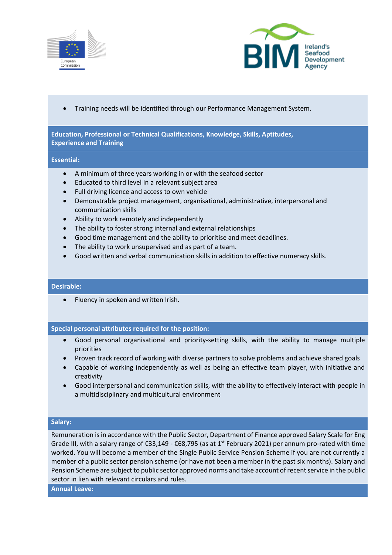



• Training needs will be identified through our Performance Management System.

**Education, Professional or Technical Qualifications, Knowledge, Skills, Aptitudes, Experience and Training**

#### **Essential:**

- A minimum of three years working in or with the seafood sector
- Educated to third level in a relevant subject area
- Full driving licence and access to own vehicle
- Demonstrable project management, organisational, administrative, interpersonal and communication skills
- Ability to work remotely and independently
- The ability to foster strong internal and external relationships
- Good time management and the ability to prioritise and meet deadlines.
- The ability to work unsupervised and as part of a team.
- Good written and verbal communication skills in addition to effective numeracy skills.

## **Desirable:**

• Fluency in spoken and written Irish.

## **Special personal attributes required for the position:**

- Good personal organisational and priority-setting skills, with the ability to manage multiple priorities
- Proven track record of working with diverse partners to solve problems and achieve shared goals
- Capable of working independently as well as being an effective team player, with initiative and creativity
- Good interpersonal and communication skills, with the ability to effectively interact with people in a multidisciplinary and multicultural environment

## **Salary:**

Remuneration is in accordance with the Public Sector, Department of Finance approved Salary Scale for Eng Grade III, with a salary range of €33,149 - €68,795 (as at 1<sup>st</sup> February 2021) per annum pro-rated with time worked. You will become a member of the Single Public Service Pension Scheme if you are not currently a member of a public sector pension scheme (or have not been a member in the past six months). Salary and Pension Scheme are subject to public sector approved norms and take account of recent service in the public sector in lien with relevant circulars and rules.

**Annual Leave:**